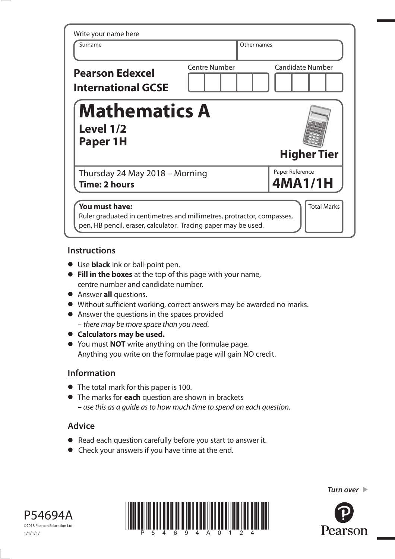| Surname                                             | Other names          |                         |
|-----------------------------------------------------|----------------------|-------------------------|
| <b>Pearson Edexcel</b><br><b>International GCSE</b> | <b>Centre Number</b> | <b>Candidate Number</b> |
| <b>Mathematics A</b><br>Level 1/2<br>Paper 1H       |                      | <b>Higher Tier</b>      |
|                                                     |                      |                         |

## **Instructions**

- **•** Use **black** ink or ball-point pen.
- **Fill in the boxes** at the top of this page with your name, centre number and candidate number.
- **•** Answer **all** questions.
- **•** Answer **all** questions.<br>• Without sufficient working, correct answers may be awarded no marks.
- Without sufficient working, correct answers m<br>• Answer the questions in the spaces provided – there may be more space than you need.
- **• Calculators may be used.**
- You must **NOT** write anything on the formulae page. Anything you write on the formulae page will gain NO credit.

# **Information**

- **•** The total mark for this paper is 100.
- **•** The marks for **each** question are shown in brackets – use this as a guide as to how much time to spend on each question.

# **Advice**

- **•** Read each question carefully before you start to answer it.
- **•** Check your answers if you have time at the end.







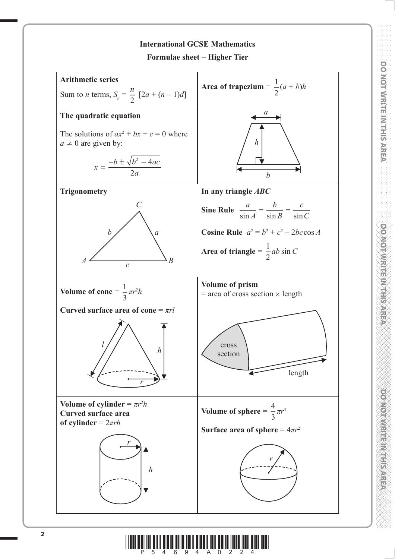

**DO NOT WRITE IN THIS AREA DO NOT WRITE IN THIS AREA DO NOT WRITE IN THIS AREA DO NOT WRITE IN THIS AREA DO NOT WRITE IN THIS AREA DO NOT WRITE IN THIS AREA DO NOT WRITE IN THIS AREA DO NOT WRITE IN THIS AREA DO NOT WRITE** 

**DOXIOTWRITEINTHISAREA** 

**DOMOIDING IN EAST PARTS** 

**DO NOT WRITE IN THIS AREA** 

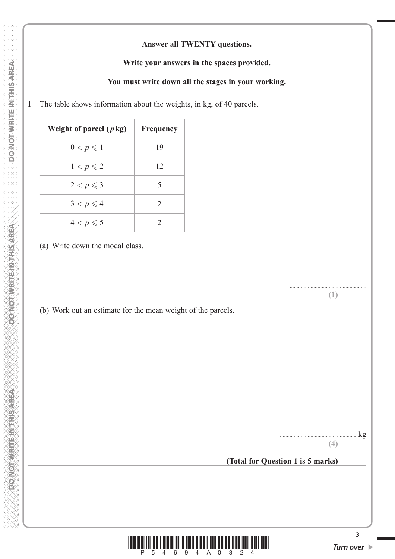## **Answer all TWENTY questions.**

#### **Write your answers in the spaces provided.**

### **You must write down all the stages in your working.**

**1** The table shows information about the weights, in kg, of 40 parcels.

| Weight of parcel $(p \text{ kg})$ | <b>Frequency</b>              |
|-----------------------------------|-------------------------------|
| $0 < p \leqslant 1$               | 19                            |
| $1 < p \leqslant 2$               | 12                            |
| $2 < p \leqslant 3$               | 5                             |
| $3 < p \leqslant 4$               | $\mathfrak{D}_{\mathfrak{p}}$ |
| $4 < p \leqslant 5$               | $\mathcal{D}$                 |

(a) Write down the modal class.

(b) Work out an estimate for the mean weight of the parcels.

 $kg$ 

....................................................... **(1)**

**(4)**

**(Total for Question 1 is 5 marks)**



**DONOT WRITEIN THIS AREA**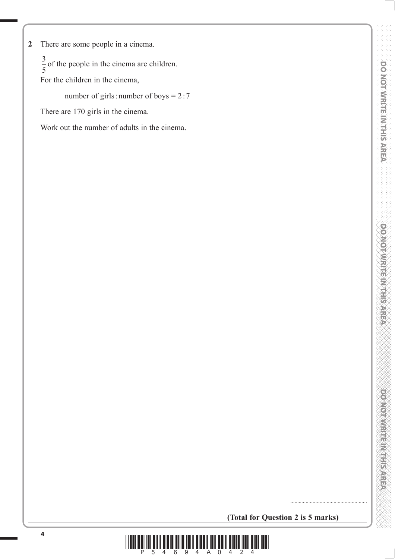**2** There are some people in a cinema.

 $\frac{3}{5}$  of the people in the cinema are children.

5 For the children in the cinema,

number of girls : number of boys = 2:7

There are 170 girls in the cinema.

Work out the number of adults in the cinema.

**(Total for Question 2 is 5 marks)**

.......................................................

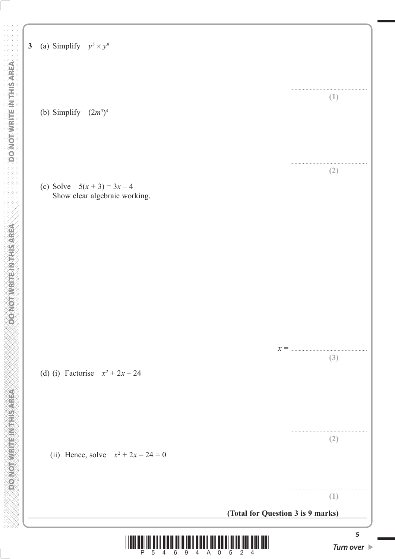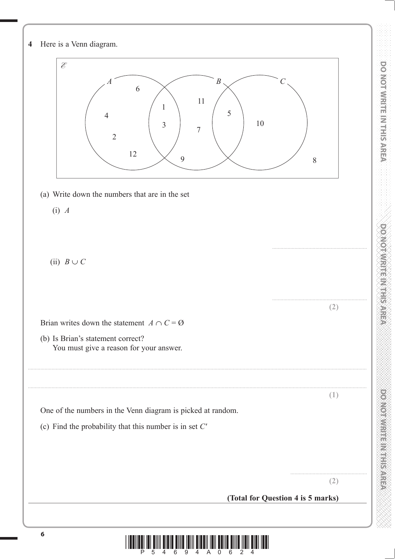

 $\prod\limits_{i=1}^n\prod\limits_{j=1}^n\prod\limits_{j=1}^n\prod\limits_{j=1}^n\prod\limits_{j=1}^n\prod\limits_{j=1}^n\prod\limits_{j=1}^n\prod\limits_{j=1}^n\prod\limits_{j=1}^n\prod\limits_{j=1}^n\prod\limits_{j=1}^n\prod\limits_{j=1}^n\prod\limits_{j=1}^n\prod\limits_{j=1}^n\prod\limits_{j=1}^n\prod\limits_{j=1}^n\prod\limits_{j=1}^n\prod\limits_{j=1}^n\prod\limits_{j=1}^n\prod\limits_{j=1}^n$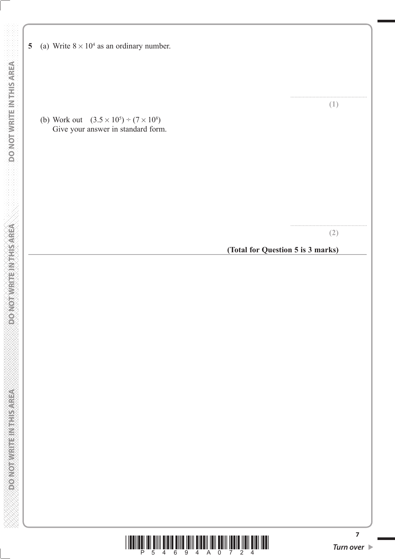5 (a) Write  $8 \times 10^4$  as an ordinary number. DO NOT WRITE IN THIS AREA  **DO NOT WRITE IN THIS AREA DO NOT WRITE IN THIS AREA DO NOT WRITE IN THIS AREA DO NOT WRITE IN THIS AREA DO NOT** ....................................................... (b) Work out  $(3.5 \times 10^5) \div (7 \times 10^8)$ Give your answer in standard form. **DONOTWEITEN THIS AREA** ....................................................... **(Total for Question 5 is 3 marks)CONGRESS MANAGEMENT CONGRES** 



**(1)**

**(2)**

**7**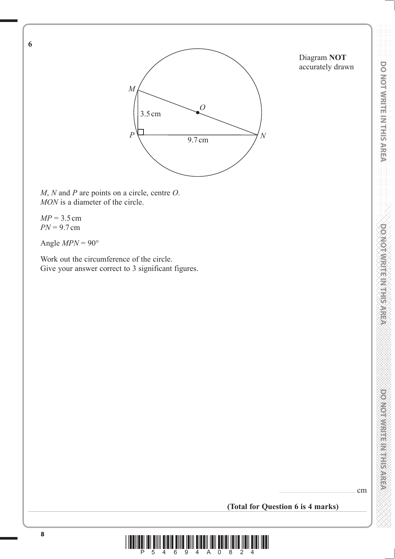Diagram **NOT** accurately drawn



*M*, *N* and *P* are points on a circle, centre *O*. *MON* is a diameter of the circle.

*MP* = 3.5 cm *PN* = 9.7 cm

**6**

Angle  $MPN = 90^\circ$ 

 Work out the circumference of the circle. Give your answer correct to 3 significant figures.

....................................................... cm

**(Total for Question 6 is 4 marks)**

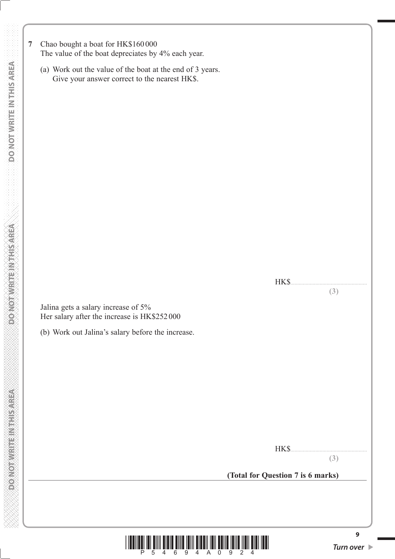- **7** Chao bought a boat for HK\$160 000 The value of the boat depreciates by 4% each year.
	- (a) Work out the value of the boat at the end of 3 years. Give your answer correct to the nearest HK\$.

 Jalina gets a salary increase of 5% Her salary after the increase is HK\$252 000

(b) Work out Jalina's salary before the increase.

HK\$

HK\$.......................................................

**(3)**

**(3)**

**(Total for Question 7 is 6 marks)**



**9**

**DONOT WRITEIN THIS AREA**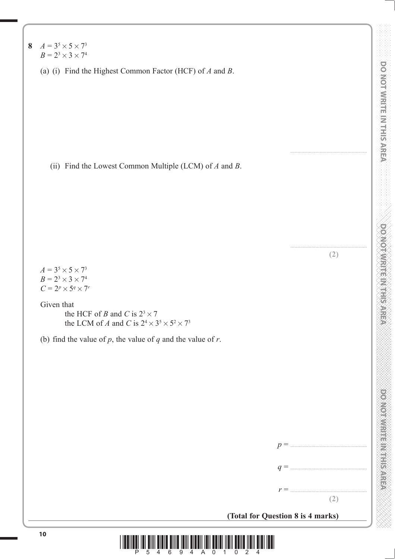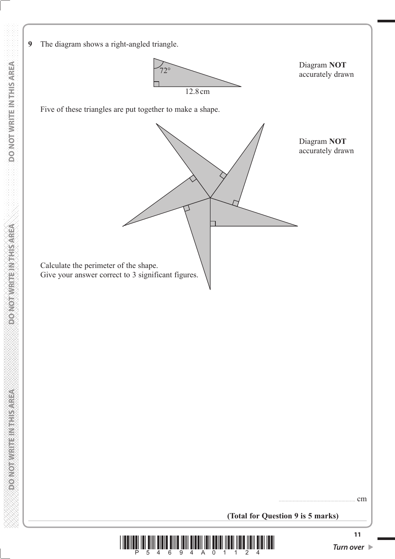

12.8 cm  $72^\circ$ 

Diagram **NOT** accurately drawn

Five of these triangles are put together to make a shape.

**9** The diagram shows a right-angled triangle.

Diagram **NOT** accurately drawn

Give your answer correct to 3 significant figures.

....................................................... cm

**(Total for Question 9 is 5 marks)**

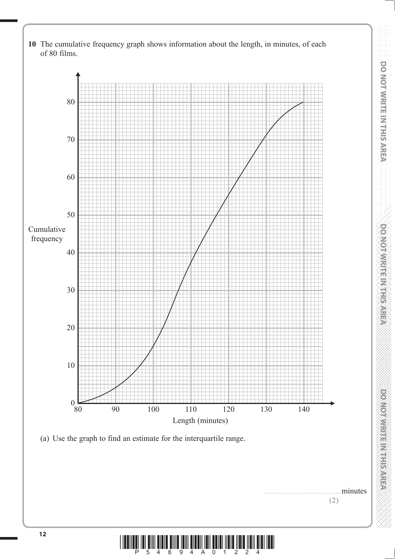

**(2)**

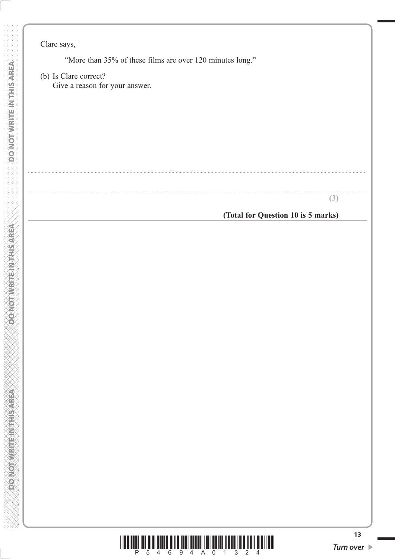Clare says,

**DO NOT WRITE IN THIS AREA** 

**DONOTWRITEWATEAREA** 

**DONOT WRITEINTHIS AREA** 

"More than 35% of these films are over 120 minutes long."

(b) Is Clare correct? Give a reason for your answer.

 $(3)$ 

## (Total for Question 10 is 5 marks)



 $13$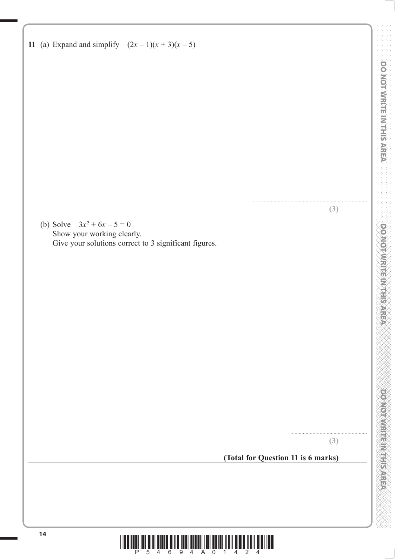

DO NOT WRITE IN THIS AREA

**DO NOT WRITE IN THIS AREA**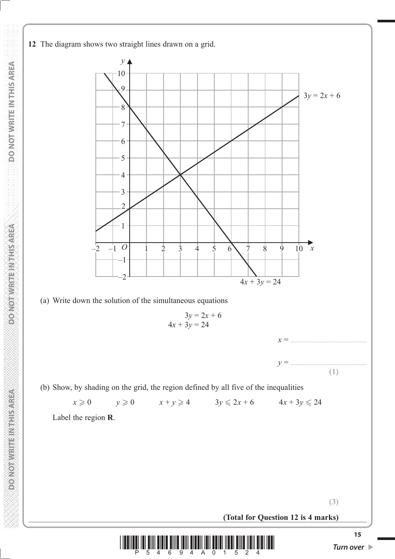**12** The diagram shows two straight lines drawn on a grid.



**(Total for Question 12 is 4 marks)**



**(3)**

**DOMORATE REGISTER OF**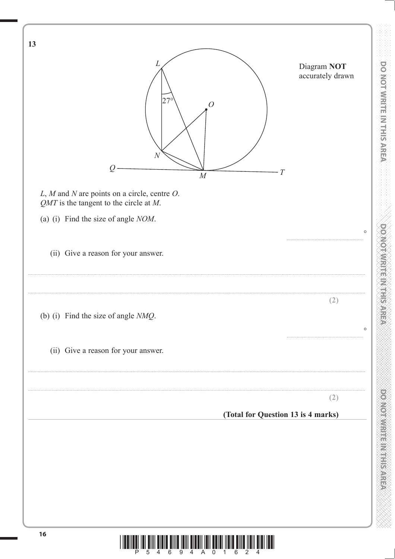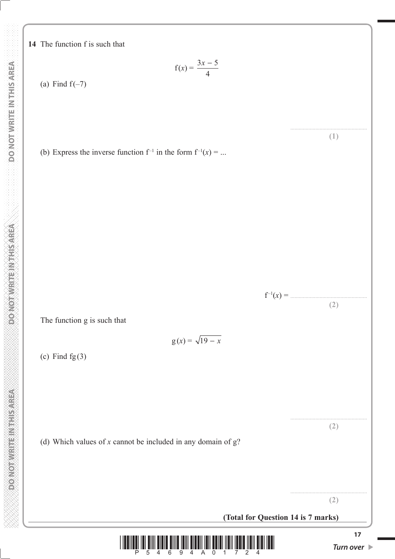**DOMORATE REGISTER OF** 

**14** The function f is such that

**17 17** *Turn over*  $f(x) = \frac{3x - 5}{4}$ (a) Find  $f(-7)$ ....................................................... **(1)** (b) Express the inverse function  $f^{-1}$  in the form  $f^{-1}(x) = ...$ f –1(*x*) = ....................................................... **(2)** The function g is such that  $g(x) = \sqrt{19 - x}$ (c) Find  $fg(3)$ ....................................................... **(2)** (d) Which values of *x* cannot be included in any domain of g? ....................................................... **(2) (Total for Question 14 is 7 marks)**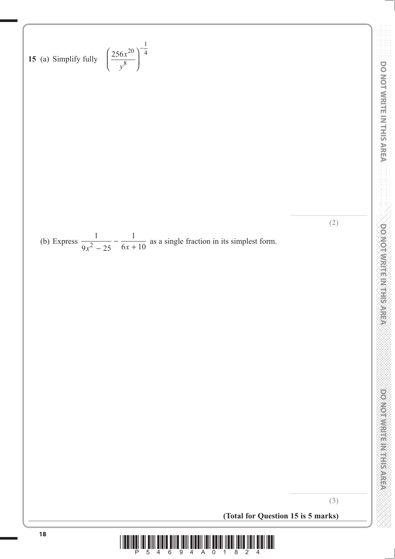

**DOMOTAMRITEIN HERRE** 

DO NOT WRITE IN THIS AREA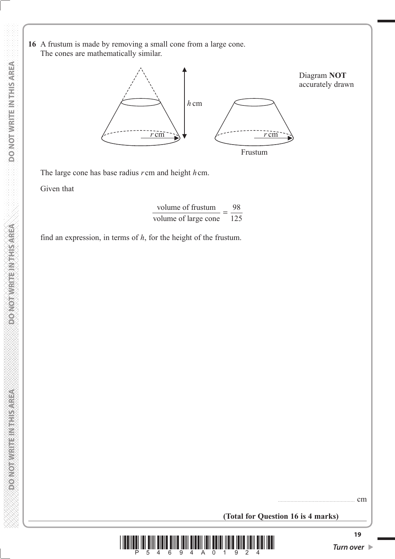**16** A frustum is made by removing a small cone from a large cone. The cones are mathematically similar.



The large cone has base radius *r* cm and height *h* cm.

Given that

$$
\frac{\text{volume of frustum}}{\text{volume of large cone}} = \frac{98}{125}
$$

find an expression, in terms of *h*, for the height of the frustum.

....................................................... cm

**(Total for Question 16 is 4 marks)**



**DOMORATE REGISTER OF**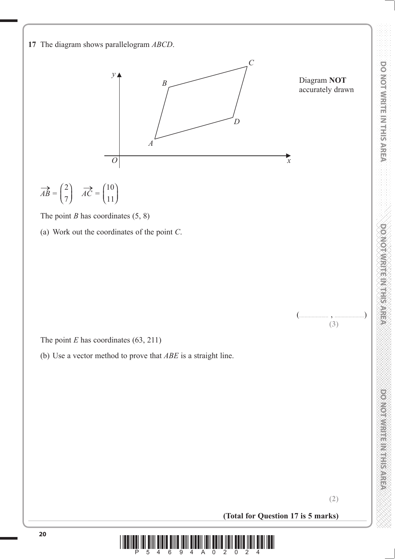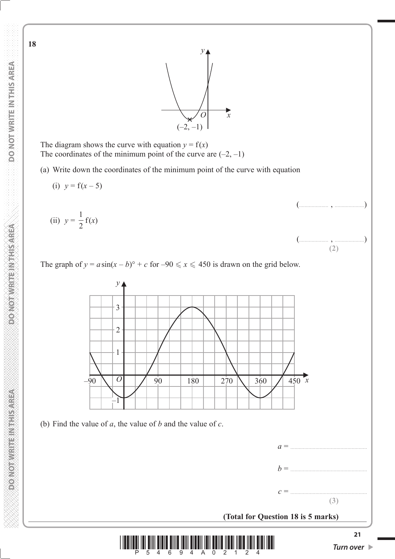**18**



*O*  $(-2, -1)$ *y x*

The diagram shows the curve with equation  $y = f(x)$ The coordinates of the minimum point of the curve are  $(-2, -1)$ 

(a) Write down the coordinates of the minimum point of the curve with equation

**MONOTHER REPAIRING CONFORM**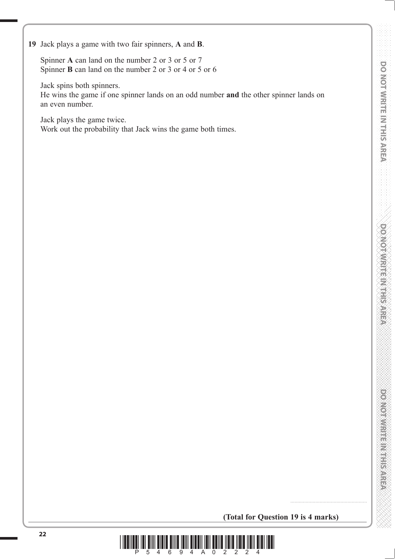**DOO YOU WELFARE ARRESTER** 

 Spinner **A** can land on the number 2 or 3 or 5 or 7 Spinner **B** can land on the number 2 or 3 or 4 or 5 or 6

Jack spins both spinners.

He wins the game if one spinner lands on an odd number **and** the other spinner lands on an even number.

Jack plays the game twice.

Work out the probability that Jack wins the game both times.

**(Total for Question 19 is 4 marks)**

.......................................................

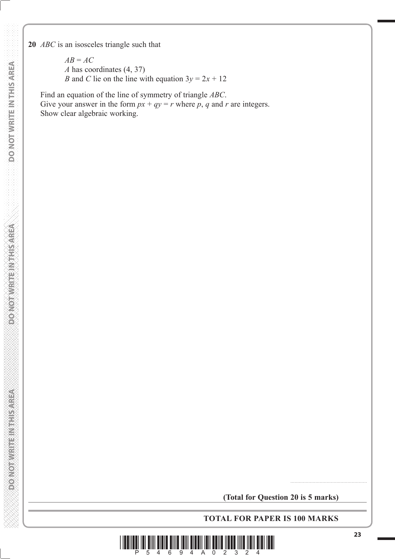**20** *ABC* is an isosceles triangle such that

 $AB = AC$ *A* has coordinates (4, 37) *B* and *C* lie on the line with equation  $3y = 2x + 12$ 

 Find an equation of the line of symmetry of triangle *ABC*. Give your answer in the form  $px + qy = r$  where p, q and r are integers. Show clear algebraic working.

**TOTAL FOR PAPER IS 100 MARKS**



.......................................................

**DONOT WRITEIN THIS AREA**